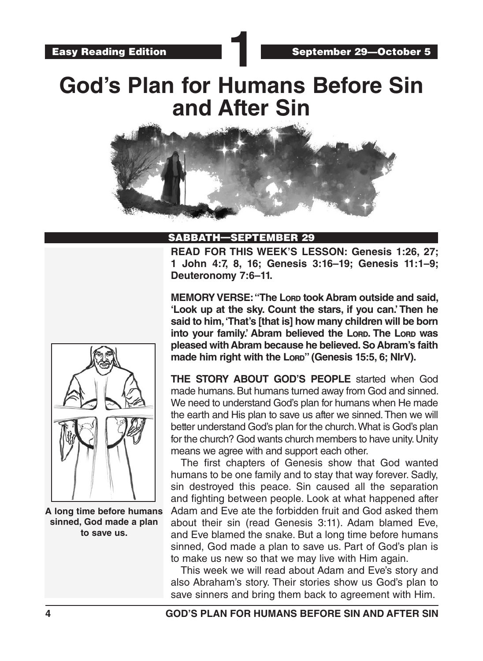# **God's Plan for Humans Before Sin and After Sin**



#### SABBATH—SEPTEMBER 29

**READ FOR THIS WEEK'S LESSON: Genesis 1:26, 27; 1 John 4:7, 8, 16; Genesis 3:16–19; Genesis 11:1–9; Deuteronomy 7:6–11.**

**MEMORY VERSE: "The Lord took Abram outside and said, 'Look up at the sky. Count the stars, if you can.' Then he said to him, 'That's [that is] how many children will be born into your family.' Abram believed the Lord. The Lord was pleased with Abram because he believed. So Abram's faith**  made him right with the Lorp<sup>"</sup> (Genesis 15:5, 6; NIrV).

**THE STORY ABOUT GOD'S PEOPLE** started when God made humans. But humans turned away from God and sinned. We need to understand God's plan for humans when He made the earth and His plan to save us after we sinned. Then we will better understand God's plan for the church. What is God's plan for the church? God wants church members to have unity. Unity means we agree with and support each other.

The first chapters of Genesis show that God wanted humans to be one family and to stay that way forever. Sadly, sin destroyed this peace. Sin caused all the separation and fighting between people. Look at what happened after Adam and Eve ate the forbidden fruit and God asked them about their sin (read Genesis 3:11). Adam blamed Eve, and Eve blamed the snake. But a long time before humans sinned, God made a plan to save us. Part of God's plan is to make us new so that we may live with Him again.

This week we will read about Adam and Eve's story and also Abraham's story. Their stories show us God's plan to save sinners and bring them back to agreement with Him.



**A long time before humans sinned, God made a plan to save us.**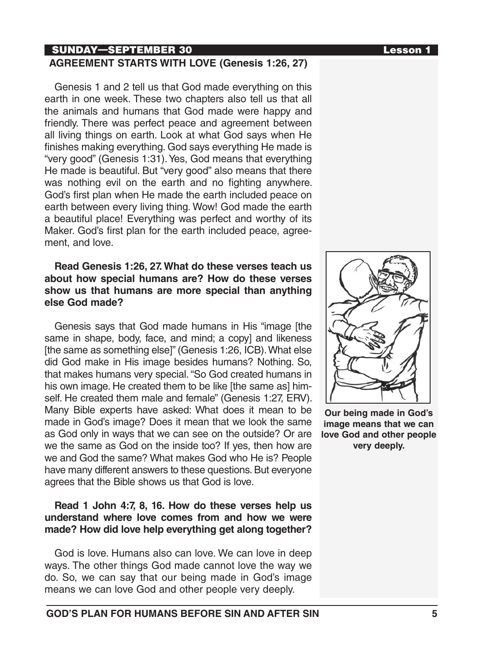### SUNDAY—SEPTEMBER 30 Lesson 1

#### **AGREEMENT STARTS WITH LOVE (Genesis 1:26, 27)**

Genesis 1 and 2 tell us that God made everything on this earth in one week. These two chapters also tell us that all the animals and humans that God made were happy and friendly. There was perfect peace and agreement between all living things on earth. Look at what God says when He finishes making everything. God says everything He made is "very good" (Genesis 1:31). Yes, God means that everything He made is beautiful. But "very good" also means that there was nothing evil on the earth and no fighting anywhere. God's first plan when He made the earth included peace on earth between every living thing. Wow! God made the earth a beautiful place! Everything was perfect and worthy of its Maker. God's first plan for the earth included peace, agreement, and love.

#### **Read Genesis 1:26, 27. What do these verses teach us about how special humans are? How do these verses show us that humans are more special than anything else God made?**

Genesis says that God made humans in His "image [the same in shape, body, face, and mind; a copy] and likeness [the same as something else]" (Genesis 1:26, ICB). What else did God make in His image besides humans? Nothing. So, that makes humans very special. "So God created humans in his own image. He created them to be like [the same as] himself. He created them male and female" (Genesis 1:27, ERV). Many Bible experts have asked: What does it mean to be made in God's image? Does it mean that we look the same as God only in ways that we can see on the outside? Or are we the same as God on the inside too? If yes, then how are we and God the same? What makes God who He is? People have many different answers to these questions. But everyone agrees that the Bible shows us that God is love.

#### **Read 1 John 4:7, 8, 16. How do these verses help us understand where love comes from and how we were made? How did love help everything get along together?**

God is love. Humans also can love. We can love in deep ways. The other things God made cannot love the way we do. So, we can say that our being made in God's image means we can love God and other people very deeply.



**Our being made in God's image means that we can love God and other people very deeply.**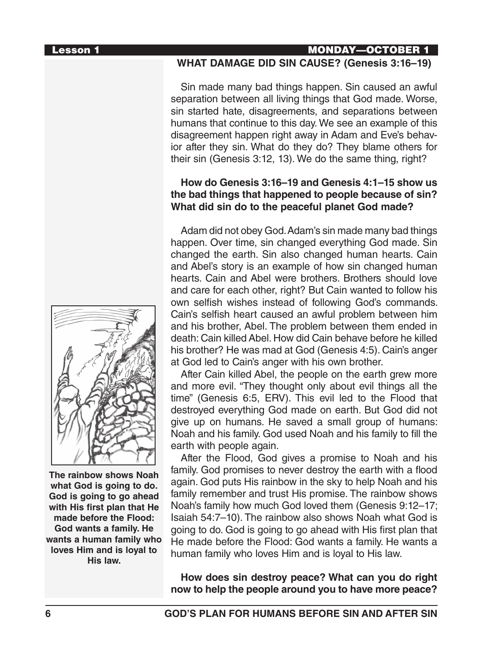#### Lesson 1 MONDAY—OCTOBER 1

#### **WHAT DAMAGE DID SIN CAUSE? (Genesis 3:16–19)**

Sin made many bad things happen. Sin caused an awful separation between all living things that God made. Worse, sin started hate, disagreements, and separations between humans that continue to this day. We see an example of this disagreement happen right away in Adam and Eve's behavior after they sin. What do they do? They blame others for their sin (Genesis 3:12, 13). We do the same thing, right?

#### **How do Genesis 3:16–19 and Genesis 4:1–15 show us the bad things that happened to people because of sin? What did sin do to the peaceful planet God made?**

Adam did not obey God. Adam's sin made many bad things happen. Over time, sin changed everything God made. Sin changed the earth. Sin also changed human hearts. Cain and Abel's story is an example of how sin changed human hearts. Cain and Abel were brothers. Brothers should love and care for each other, right? But Cain wanted to follow his own selfish wishes instead of following God's commands. Cain's selfish heart caused an awful problem between him and his brother, Abel. The problem between them ended in death: Cain killed Abel. How did Cain behave before he killed his brother? He was mad at God (Genesis 4:5). Cain's anger at God led to Cain's anger with his own brother.

After Cain killed Abel, the people on the earth grew more and more evil. "They thought only about evil things all the time" (Genesis 6:5, ERV). This evil led to the Flood that destroyed everything God made on earth. But God did not give up on humans. He saved a small group of humans: Noah and his family. God used Noah and his family to fill the earth with people again.

After the Flood, God gives a promise to Noah and his family. God promises to never destroy the earth with a flood again. God puts His rainbow in the sky to help Noah and his family remember and trust His promise. The rainbow shows Noah's family how much God loved them (Genesis 9:12–17; Isaiah 54:7–10). The rainbow also shows Noah what God is going to do. God is going to go ahead with His first plan that He made before the Flood: God wants a family. He wants a human family who loves Him and is loyal to His law.

**How does sin destroy peace? What can you do right now to help the people around you to have more peace?**



**The rainbow shows Noah what God is going to do. God is going to go ahead with His first plan that He made before the Flood: God wants a family. He wants a human family who loves Him and is loyal to His law.**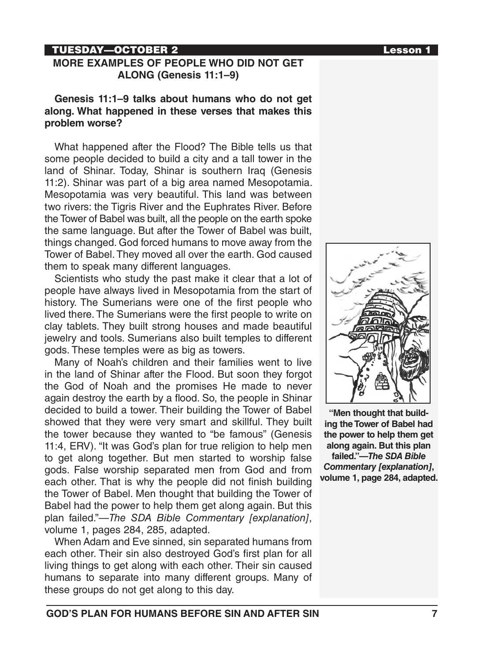#### TUESDAY—OCTOBER 2 Lesson 1

#### **MORE EXAMPLES OF PEOPLE WHO DID NOT GET ALONG (Genesis 11:1–9)**

**Genesis 11:1–9 talks about humans who do not get along. What happened in these verses that makes this problem worse?** 

What happened after the Flood? The Bible tells us that some people decided to build a city and a tall tower in the land of Shinar. Today, Shinar is southern Iraq (Genesis 11:2). Shinar was part of a big area named Mesopotamia. Mesopotamia was very beautiful. This land was between two rivers: the Tigris River and the Euphrates River. Before the Tower of Babel was built, all the people on the earth spoke the same language. But after the Tower of Babel was built, things changed. God forced humans to move away from the Tower of Babel. They moved all over the earth. God caused them to speak many different languages.

Scientists who study the past make it clear that a lot of people have always lived in Mesopotamia from the start of history. The Sumerians were one of the first people who lived there. The Sumerians were the first people to write on clay tablets. They built strong houses and made beautiful jewelry and tools. Sumerians also built temples to different gods. These temples were as big as towers.

Many of Noah's children and their families went to live in the land of Shinar after the Flood. But soon they forgot the God of Noah and the promises He made to never again destroy the earth by a flood. So, the people in Shinar decided to build a tower. Their building the Tower of Babel showed that they were very smart and skillful. They built the tower because they wanted to "be famous" (Genesis 11:4, ERV). "It was God's plan for true religion to help men to get along together. But men started to worship false gods. False worship separated men from God and from each other. That is why the people did not finish building the Tower of Babel. Men thought that building the Tower of Babel had the power to help them get along again. But this plan failed."—*The SDA Bible Commentary [explanation]*, volume 1, pages 284, 285, adapted.

When Adam and Eve sinned, sin separated humans from each other. Their sin also destroyed God's first plan for all living things to get along with each other. Their sin caused humans to separate into many different groups. Many of these groups do not get along to this day.



**"Men thought that building the Tower of Babel had the power to help them get along again. But this plan failed."—***The SDA Bible Commentary [explanation]***, volume 1, page 284, adapted.**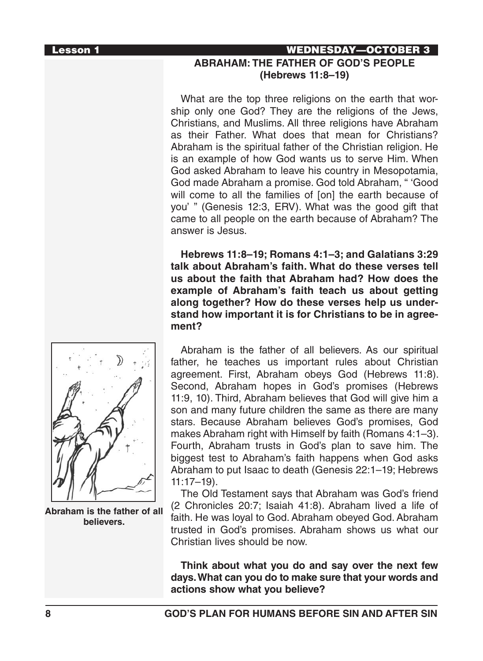### Lesson 1 WEDNESDAY—OCTOBER 3 **ABRAHAM: THE FATHER OF GOD'S PEOPLE (Hebrews 11:8–19)**

What are the top three religions on the earth that worship only one God? They are the religions of the Jews, Christians, and Muslims. All three religions have Abraham as their Father. What does that mean for Christians? Abraham is the spiritual father of the Christian religion. He is an example of how God wants us to serve Him. When God asked Abraham to leave his country in Mesopotamia, God made Abraham a promise. God told Abraham, " 'Good will come to all the families of [on] the earth because of you' " (Genesis 12:3, ERV). What was the good gift that came to all people on the earth because of Abraham? The answer is Jesus.

**Hebrews 11:8–19; Romans 4:1–3; and Galatians 3:29 talk about Abraham's faith. What do these verses tell us about the faith that Abraham had? How does the example of Abraham's faith teach us about getting along together? How do these verses help us understand how important it is for Christians to be in agreement?**



**Abraham is the father of all believers.** 

Abraham is the father of all believers. As our spiritual father, he teaches us important rules about Christian agreement. First, Abraham obeys God (Hebrews 11:8). Second, Abraham hopes in God's promises (Hebrews 11:9, 10). Third, Abraham believes that God will give him a son and many future children the same as there are many stars. Because Abraham believes God's promises, God makes Abraham right with Himself by faith (Romans 4:1–3). Fourth, Abraham trusts in God's plan to save him. The biggest test to Abraham's faith happens when God asks Abraham to put Isaac to death (Genesis 22:1–19; Hebrews 11:17–19).

The Old Testament says that Abraham was God's friend (2 Chronicles 20:7; Isaiah 41:8). Abraham lived a life of faith. He was loyal to God. Abraham obeyed God. Abraham trusted in God's promises. Abraham shows us what our Christian lives should be now.

**Think about what you do and say over the next few days. What can you do to make sure that your words and actions show what you believe?**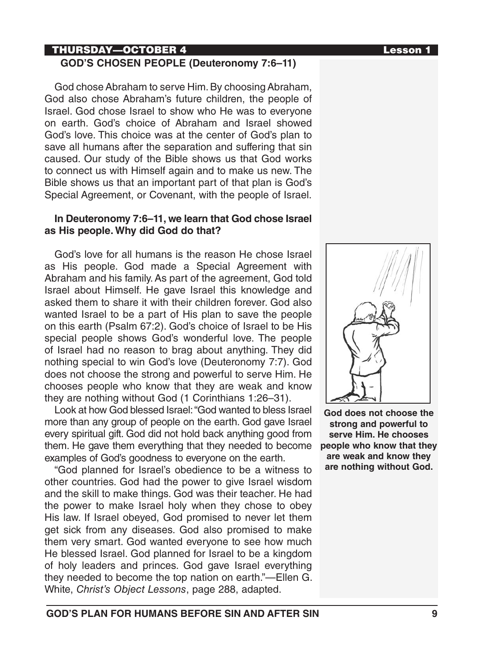#### THURSDAY—OCTOBER 4 Lesson 1 **GOD'S CHOSEN PEOPLE (Deuteronomy 7:6–11)**

God chose Abraham to serve Him. By choosing Abraham, God also chose Abraham's future children, the people of Israel. God chose Israel to show who He was to everyone on earth. God's choice of Abraham and Israel showed God's love. This choice was at the center of God's plan to save all humans after the separation and suffering that sin caused. Our study of the Bible shows us that God works to connect us with Himself again and to make us new. The Bible shows us that an important part of that plan is God's Special Agreement, or Covenant, with the people of Israel.

#### **In Deuteronomy 7:6–11, we learn that God chose Israel as His people. Why did God do that?**

God's love for all humans is the reason He chose Israel as His people. God made a Special Agreement with Abraham and his family. As part of the agreement, God told Israel about Himself. He gave Israel this knowledge and asked them to share it with their children forever. God also wanted Israel to be a part of His plan to save the people on this earth (Psalm 67:2). God's choice of Israel to be His special people shows God's wonderful love. The people of Israel had no reason to brag about anything. They did nothing special to win God's love (Deuteronomy 7:7). God does not choose the strong and powerful to serve Him. He chooses people who know that they are weak and know they are nothing without God (1 Corinthians 1:26–31).

Look at how God blessed Israel: "God wanted to bless Israel more than any group of people on the earth. God gave Israel every spiritual gift. God did not hold back anything good from them. He gave them everything that they needed to become examples of God's goodness to everyone on the earth.

"God planned for Israel's obedience to be a witness to other countries. God had the power to give Israel wisdom and the skill to make things. God was their teacher. He had the power to make Israel holy when they chose to obey His law. If Israel obeyed, God promised to never let them get sick from any diseases. God also promised to make them very smart. God wanted everyone to see how much He blessed Israel. God planned for Israel to be a kingdom of holy leaders and princes. God gave Israel everything they needed to become the top nation on earth."—Ellen G. White, *Christ's Object Lessons*, page 288, adapted.



**God does not choose the strong and powerful to serve Him. He chooses people who know that they are weak and know they are nothing without God.**